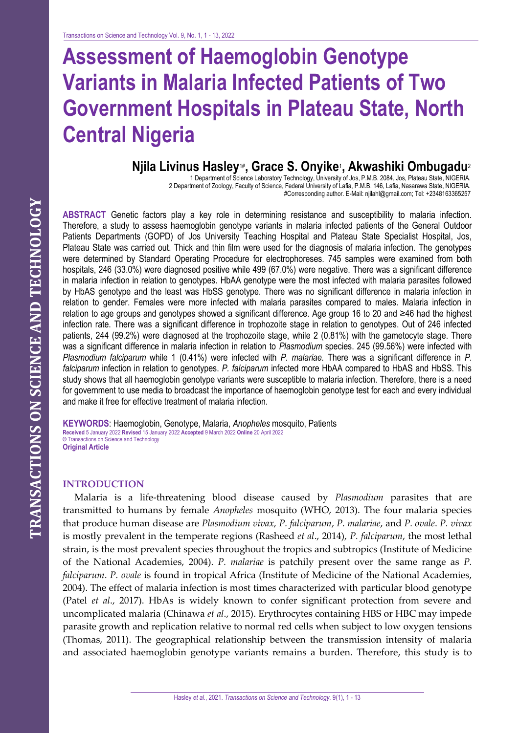# **Assessment of Haemoglobin Genotype Variants in Malaria Infected Patients of Two Government Hospitals in Plateau State, North Central Nigeria**

# **Njila Livinus Hasley**1# **, Grace S. Onyike**<sup>1</sup> **, Akwashiki Ombugadu**<sup>2</sup>

1 Department of Science Laboratory Technology, University of Jos, P.M.B. 2084, Jos, Plateau State, NIGERIA. 2 Department of Zoology, Faculty of Science, Federal University of Lafia, P.M.B. 146, Lafia, Nasarawa State, NIGERIA. #Corresponding author. E-Mail: njilahl@gmail.com; Tel: +2348163365257

**ABSTRACT** Genetic factors play a key role in determining resistance and susceptibility to malaria infection. Therefore, a study to assess haemoglobin genotype variants in malaria infected patients of the General Outdoor Patients Departments (GOPD) of Jos University Teaching Hospital and Plateau State Specialist Hospital, Jos, Plateau State was carried out. Thick and thin film were used for the diagnosis of malaria infection. The genotypes were determined by Standard Operating Procedure for electrophoreses. 745 samples were examined from both hospitals, 246 (33.0%) were diagnosed positive while 499 (67.0%) were negative. There was a significant difference in malaria infection in relation to genotypes. HbAA genotype were the most infected with malaria parasites followed by HbAS genotype and the least was HbSS genotype. There was no significant difference in malaria infection in relation to gender. Females were more infected with malaria parasites compared to males. Malaria infection in relation to age groups and genotypes showed a significant difference. Age group 16 to 20 and ≥46 had the highest infection rate. There was a significant difference in trophozoite stage in relation to genotypes. Out of 246 infected patients, 244 (99.2%) were diagnosed at the trophozoite stage, while 2 (0.81%) with the gametocyte stage. There was a significant difference in malaria infection in relation to *Plasmodium* species. 245 (99.56%) were infected with *Plasmodium falciparum* while 1 (0.41%) were infected with *P. malariae.* There was a significant difference in *P. falciparum* infection in relation to genotypes. *P. falciparum* infected more HbAA compared to HbAS and HbSS. This study shows that all haemoglobin genotype variants were susceptible to malaria infection. Therefore, there is a need for government to use media to broadcast the importance of haemoglobin genotype test for each and every individual and make it free for effective treatment of malaria infection.

**KEYWORDS**: Haemoglobin, Genotype, Malaria, *Anopheles* mosquito, Patients **Received** 5 January 2022 **Revised** 15 January 2022 **Accepted** 9 March 2022 **Online** 20 April 2022 **©** Transactions on Science and Technology **Original Article** 

#### **INTRODUCTION**

Malaria is a life-threatening blood disease caused by *Plasmodium* parasites that are transmitted to humans by female *Anopheles* mosquito (WHO, 2013). The four malaria species that produce human disease are *Plasmodium vivax, P. falciparum*, *P. malariae*, and *P. ovale*. *P. vivax*  is mostly prevalent in the temperate regions (Rasheed *et al*., 2014), *P. falciparum*, the most lethal strain, is the most prevalent species throughout the tropics and subtropics (Institute of Medicine of the National Academies, 2004). *P. malariae* is patchily present over the same range as *P. falciparum*. *P. ovale* is found in tropical Africa (Institute of Medicine of the National Academies, 2004). The effect of malaria infection is most times characterized with particular blood genotype (Patel *et al*., 2017). HbAs is widely known to confer significant protection from severe and uncomplicated malaria (Chinawa *et al*., 2015). Erythrocytes containing HBS or HBC may impede parasite growth and replication relative to normal red cells when subject to low oxygen tensions (Thomas, 2011). The geographical relationship between the transmission intensity of malaria and associated haemoglobin genotype variants remains a burden. Therefore, this study is to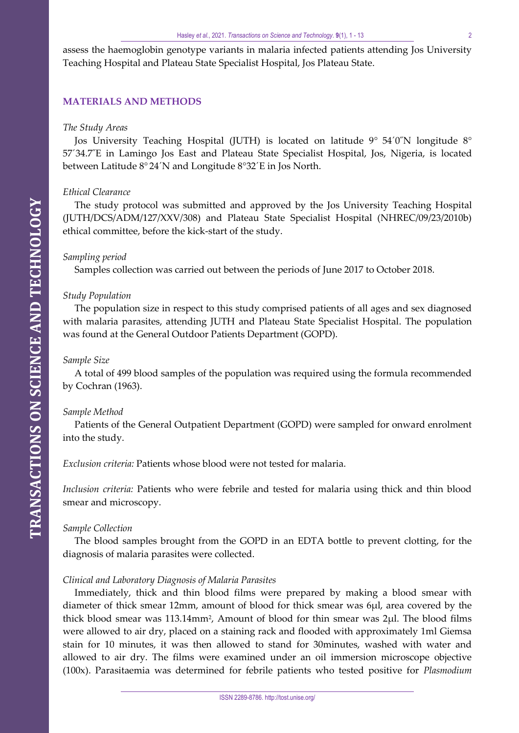assess the haemoglobin genotype variants in malaria infected patients attending Jos University Teaching Hospital and Plateau State Specialist Hospital, Jos Plateau State.

### **MATERIALS AND METHODS**

#### *The Study Areas*

Jos University Teaching Hospital (JUTH) is located on latitude  $9^{\circ}$  54<sup> $\prime$ </sup>0<sup> $\prime$ </sup>N longitude  $8^{\circ}$ 57´34.7˝E in Lamingo Jos East and Plateau State Specialist Hospital, Jos, Nigeria, is located between Latitude 8° 24´N and Longitude 8°32´E in Jos North.

#### *Ethical Clearance*

The study protocol was submitted and approved by the Jos University Teaching Hospital (JUTH/DCS/ADM/127/XXV/308) and Plateau State Specialist Hospital (NHREC/09/23/2010b) ethical committee, before the kick-start of the study.

#### *Sampling period*

Samples collection was carried out between the periods of June 2017 to October 2018.

#### *Study Population*

The population size in respect to this study comprised patients of all ages and sex diagnosed with malaria parasites, attending JUTH and Plateau State Specialist Hospital. The population was found at the General Outdoor Patients Department (GOPD).

#### *Sample Size*

A total of 499 blood samples of the population was required using the formula recommended by Cochran (1963).

#### *Sample Method*

Patients of the General Outpatient Department (GOPD) were sampled for onward enrolment into the study.

*Exclusion criteria:* Patients whose blood were not tested for malaria.

*Inclusion criteria:* Patients who were febrile and tested for malaria using thick and thin blood smear and microscopy.

#### *Sample Collection*

The blood samples brought from the GOPD in an EDTA bottle to prevent clotting, for the diagnosis of malaria parasites were collected.

#### *Clinical and Laboratory Diagnosis of Malaria Parasites*

Immediately, thick and thin blood films were prepared by making a blood smear with diameter of thick smear 12mm, amount of blood for thick smear was 6µl, area covered by the thick blood smear was 113.14mm<sup>2</sup>, Amount of blood for thin smear was 2µl. The blood films were allowed to air dry, placed on a staining rack and flooded with approximately 1ml Giemsa stain for 10 minutes, it was then allowed to stand for 30minutes, washed with water and allowed to air dry. The films were examined under an oil immersion microscope objective (100x). Parasitaemia was determined for febrile patients who tested positive for *Plasmodium*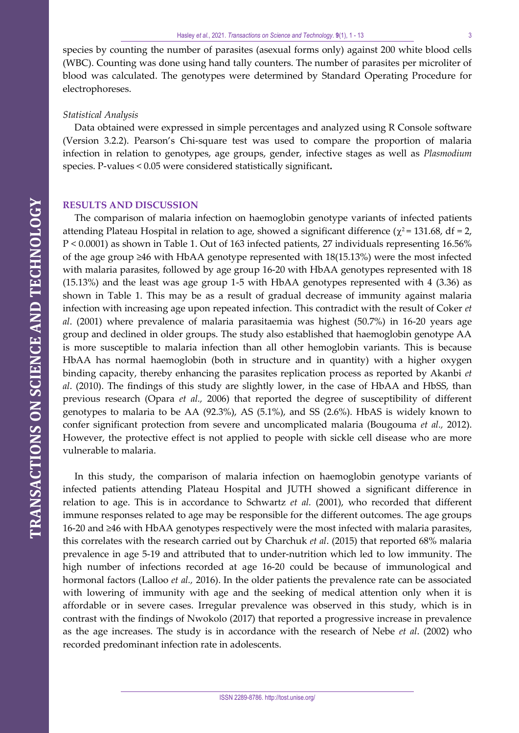species by counting the number of parasites (asexual forms only) against 200 white blood cells (WBC). Counting was done using hand tally counters. The number of parasites per microliter of blood was calculated. The genotypes were determined by Standard Operating Procedure for electrophoreses.

#### *Statistical Analysis*

Data obtained were expressed in simple percentages and analyzed using R Console software (Version 3.2.2). Pearson's Chi-square test was used to compare the proportion of malaria infection in relation to genotypes, age groups, gender, infective stages as well as *Plasmodium*  species. P-values < 0.05 were considered statistically significant**.**

#### **RESULTS AND DISCUSSION**

The comparison of malaria infection on haemoglobin genotype variants of infected patients attending Plateau Hospital in relation to age, showed a significant difference ( $\chi^2$  = 131.68, df = 2, P < 0.0001) as shown in Table 1. Out of 163 infected patients, 27 individuals representing 16.56% of the age group ≥46 with HbAA genotype represented with 18(15.13%) were the most infected with malaria parasites, followed by age group 16-20 with HbAA genotypes represented with 18 (15.13%) and the least was age group 1-5 with HbAA genotypes represented with 4 (3.36) as shown in Table 1. This may be as a result of gradual decrease of immunity against malaria infection with increasing age upon repeated infection. This contradict with the result of Coker *et al*. (2001) where prevalence of malaria parasitaemia was highest (50.7%) in 16-20 years age group and declined in older groups. The study also established that haemoglobin genotype AA is more susceptible to malaria infection than all other hemoglobin variants. This is because HbAA has normal haemoglobin (both in structure and in quantity) with a higher oxygen binding capacity, thereby enhancing the parasites replication process as reported by Akanbi *et al*. (2010). The findings of this study are slightly lower, in the case of HbAA and HbSS, than previous research (Opara *et al.,* 2006) that reported the degree of susceptibility of different genotypes to malaria to be AA (92.3%), AS (5.1%), and SS (2.6%). HbAS is widely known to confer significant protection from severe and uncomplicated malaria (Bougouma *et al.,* 2012). However, the protective effect is not applied to people with sickle cell disease who are more vulnerable to malaria.

In this study, the comparison of malaria infection on haemoglobin genotype variants of infected patients attending Plateau Hospital and JUTH showed a significant difference in relation to age. This is in accordance to Schwartz *et al.* (2001), who recorded that different immune responses related to age may be responsible for the different outcomes. The age groups 16-20 and ≥46 with HbAA genotypes respectively were the most infected with malaria parasites, this correlates with the research carried out by Charchuk *et al*. (2015) that reported 68% malaria prevalence in age 5-19 and attributed that to under-nutrition which led to low immunity. The high number of infections recorded at age 16-20 could be because of immunological and hormonal factors (Lalloo *et al.,* 2016). In the older patients the prevalence rate can be associated with lowering of immunity with age and the seeking of medical attention only when it is affordable or in severe cases. Irregular prevalence was observed in this study, which is in contrast with the findings of Nwokolo (2017) that reported a progressive increase in prevalence as the age increases. The study is in accordance with the research of Nebe *et al*. (2002) who recorded predominant infection rate in adolescents.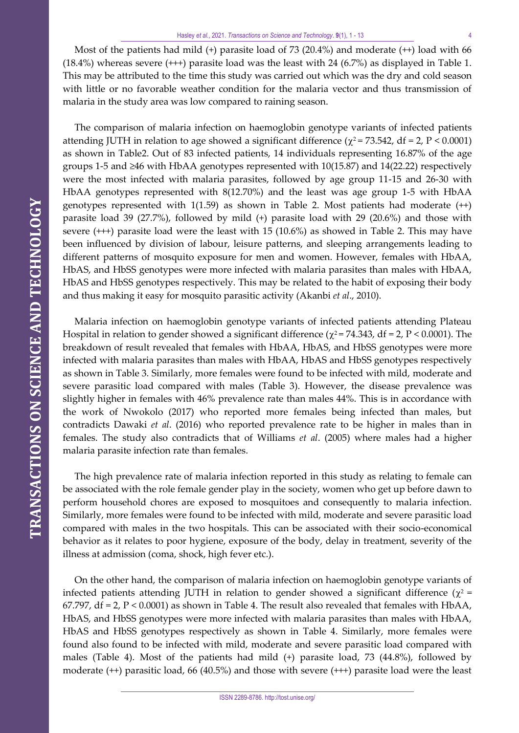Most of the patients had mild (+) parasite load of 73 (20.4%) and moderate (++) load with 66 (18.4%) whereas severe (+++) parasite load was the least with 24 (6.7%) as displayed in Table 1. This may be attributed to the time this study was carried out which was the dry and cold season with little or no favorable weather condition for the malaria vector and thus transmission of malaria in the study area was low compared to raining season.

The comparison of malaria infection on haemoglobin genotype variants of infected patients attending JUTH in relation to age showed a significant difference ( $\chi^2$  = 73.542, df = 2, P < 0.0001) as shown in Table2. Out of 83 infected patients, 14 individuals representing 16.87% of the age groups 1-5 and ≥46 with HbAA genotypes represented with 10(15.87) and 14(22.22) respectively were the most infected with malaria parasites, followed by age group 11-15 and 26-30 with HbAA genotypes represented with 8(12.70%) and the least was age group 1-5 with HbAA genotypes represented with  $1(1.59)$  as shown in Table 2. Most patients had moderate  $(++)$ parasite load 39 (27.7%), followed by mild (+) parasite load with 29 (20.6%) and those with severe (+++) parasite load were the least with 15 (10.6%) as showed in Table 2. This may have been influenced by division of labour, leisure patterns, and sleeping arrangements leading to different patterns of mosquito exposure for men and women. However, females with HbAA, HbAS, and HbSS genotypes were more infected with malaria parasites than males with HbAA, HbAS and HbSS genotypes respectively. This may be related to the habit of exposing their body and thus making it easy for mosquito parasitic activity (Akanbi *et al*., 2010).

Malaria infection on haemoglobin genotype variants of infected patients attending Plateau Hospital in relation to gender showed a significant difference ( $\chi^2$  = 74.343, df = 2, P < 0.0001). The breakdown of result revealed that females with HbAA, HbAS, and HbSS genotypes were more infected with malaria parasites than males with HbAA, HbAS and HbSS genotypes respectively as shown in Table 3. Similarly, more females were found to be infected with mild, moderate and severe parasitic load compared with males (Table 3). However, the disease prevalence was slightly higher in females with 46% prevalence rate than males 44%. This is in accordance with the work of Nwokolo (2017) who reported more females being infected than males, but contradicts Dawaki *et al*. (2016) who reported prevalence rate to be higher in males than in females. The study also contradicts that of Williams *et al*. (2005) where males had a higher malaria parasite infection rate than females.

The high prevalence rate of malaria infection reported in this study as relating to female can be associated with the role female gender play in the society, women who get up before dawn to perform household chores are exposed to mosquitoes and consequently to malaria infection. Similarly, more females were found to be infected with mild, moderate and severe parasitic load compared with males in the two hospitals. This can be associated with their socio-economical behavior as it relates to poor hygiene, exposure of the body, delay in treatment, severity of the illness at admission (coma, shock, high fever etc.).

On the other hand, the comparison of malaria infection on haemoglobin genotype variants of infected patients attending JUTH in relation to gender showed a significant difference ( $\chi^2$  = 67.797,  $df = 2$ ,  $P < 0.0001$ ) as shown in Table 4. The result also revealed that females with HbAA, HbAS, and HbSS genotypes were more infected with malaria parasites than males with HbAA, HbAS and HbSS genotypes respectively as shown in Table 4. Similarly, more females were found also found to be infected with mild, moderate and severe parasitic load compared with males (Table 4). Most of the patients had mild (+) parasite load, 73 (44.8%), followed by moderate (++) parasitic load, 66 (40.5%) and those with severe (+++) parasite load were the least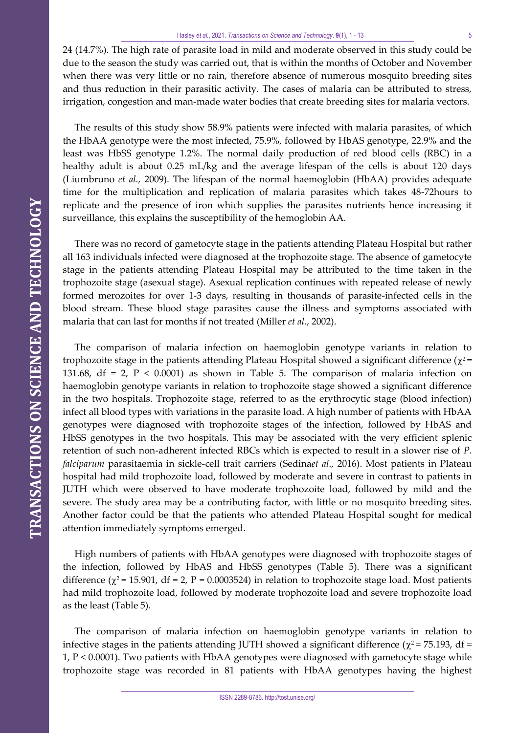24 (14.7%). The high rate of parasite load in mild and moderate observed in this study could be due to the season the study was carried out, that is within the months of October and November when there was very little or no rain, therefore absence of numerous mosquito breeding sites and thus reduction in their parasitic activity. The cases of malaria can be attributed to stress, irrigation, congestion and man-made water bodies that create breeding sites for malaria vectors.

The results of this study show 58.9% patients were infected with malaria parasites, of which the HbAA genotype were the most infected, 75.9%, followed by HbAS genotype, 22.9% and the least was HbSS genotype 1.2%. The normal daily production of red blood cells (RBC) in a healthy adult is about 0.25 mL/kg and the average lifespan of the cells is about 120 days (Liumbruno *et al.,* 2009). The lifespan of the normal haemoglobin (HbAA) provides adequate time for the multiplication and replication of malaria parasites which takes 48-72hours to replicate and the presence of iron which supplies the parasites nutrients hence increasing it surveillance, this explains the susceptibility of the hemoglobin AA.

There was no record of gametocyte stage in the patients attending Plateau Hospital but rather all 163 individuals infected were diagnosed at the trophozoite stage. The absence of gametocyte stage in the patients attending Plateau Hospital may be attributed to the time taken in the trophozoite stage (asexual stage). Asexual replication continues with repeated release of newly formed merozoites for over 1-3 days, resulting in thousands of parasite-infected cells in the blood stream. These blood stage parasites cause the illness and symptoms associated with malaria that can last for months if not treated (Miller *et al.*, 2002).

The comparison of malaria infection on haemoglobin genotype variants in relation to trophozoite stage in the patients attending Plateau Hospital showed a significant difference ( $\chi^2$  = 131.68, df = 2,  $P$  < 0.0001) as shown in Table 5. The comparison of malaria infection on haemoglobin genotype variants in relation to trophozoite stage showed a significant difference in the two hospitals. Trophozoite stage, referred to as the erythrocytic stage (blood infection) infect all blood types with variations in the parasite load. A high number of patients with HbAA genotypes were diagnosed with trophozoite stages of the infection, followed by HbAS and HbSS genotypes in the two hospitals. This may be associated with the very efficient splenic retention of such non-adherent infected RBCs which is expected to result in a slower rise of *P. falciparum* parasitaemia in sickle-cell trait carriers (Sedina*et al*.*,* 2016). Most patients in Plateau hospital had mild trophozoite load, followed by moderate and severe in contrast to patients in JUTH which were observed to have moderate trophozoite load, followed by mild and the severe. The study area may be a contributing factor, with little or no mosquito breeding sites. Another factor could be that the patients who attended Plateau Hospital sought for medical attention immediately symptoms emerged.

High numbers of patients with HbAA genotypes were diagnosed with trophozoite stages of the infection, followed by HbAS and HbSS genotypes (Table 5). There was a significant difference ( $\chi^2$  = 15.901, df = 2, P = 0.0003524) in relation to trophozoite stage load. Most patients had mild trophozoite load, followed by moderate trophozoite load and severe trophozoite load as the least (Table 5).

The comparison of malaria infection on haemoglobin genotype variants in relation to infective stages in the patients attending JUTH showed a significant difference ( $\chi^2$  = 75.193, df = 1, P < 0.0001). Two patients with HbAA genotypes were diagnosed with gametocyte stage while trophozoite stage was recorded in 81 patients with HbAA genotypes having the highest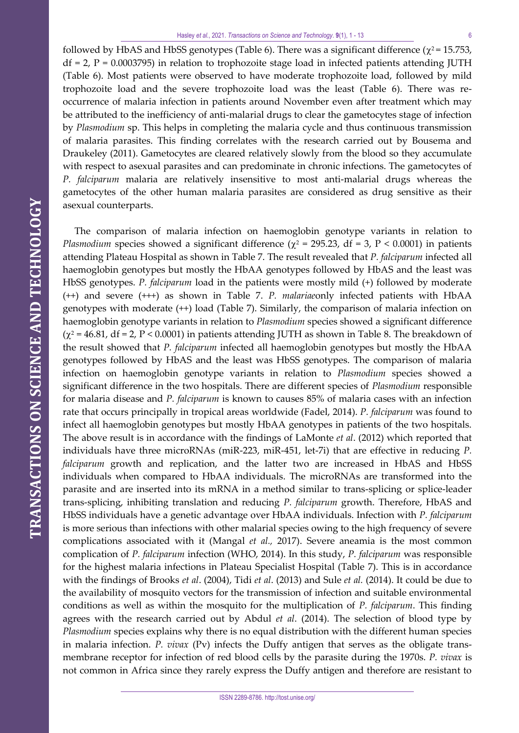followed by HbAS and HbSS genotypes (Table 6). There was a significant difference ( $\chi^2$  = 15.753,  $df = 2$ ,  $P = 0.0003795$ ) in relation to trophozoite stage load in infected patients attending JUTH (Table 6). Most patients were observed to have moderate trophozoite load, followed by mild trophozoite load and the severe trophozoite load was the least (Table 6). There was reoccurrence of malaria infection in patients around November even after treatment which may be attributed to the inefficiency of anti-malarial drugs to clear the gametocytes stage of infection by *Plasmodium* sp. This helps in completing the malaria cycle and thus continuous transmission of malaria parasites. This finding correlates with the research carried out by Bousema and Draukeley (2011). Gametocytes are cleared relatively slowly from the blood so they accumulate with respect to asexual parasites and can predominate in chronic infections. The gametocytes of *P. falciparum* malaria are relatively insensitive to most anti-malarial drugs whereas the gametocytes of the other human malaria parasites are considered as drug sensitive as their asexual counterparts.

The comparison of malaria infection on haemoglobin genotype variants in relation to *Plasmodium* species showed a significant difference ( $\chi^2$  = 295.23, df = 3, P < 0.0001) in patients attending Plateau Hospital as shown in Table 7. The result revealed that *P. falciparum* infected all haemoglobin genotypes but mostly the HbAA genotypes followed by HbAS and the least was HbSS genotypes. *P. falciparum* load in the patients were mostly mild (+) followed by moderate (++) and severe (+++) as shown in Table 7. *P. malariae*only infected patients with HbAA genotypes with moderate (++) load (Table 7). Similarly, the comparison of malaria infection on haemoglobin genotype variants in relation to *Plasmodium* species showed a significant difference ( $\chi^2$  = 46.81, df = 2, P < 0.0001) in patients attending JUTH as shown in Table 8. The breakdown of the result showed that *P. falciparum* infected all haemoglobin genotypes but mostly the HbAA genotypes followed by HbAS and the least was HbSS genotypes. The comparison of malaria infection on haemoglobin genotype variants in relation to *Plasmodium* species showed a significant difference in the two hospitals. There are different species of *Plasmodium* responsible for malaria disease and *P. falciparum* is known to causes 85% of malaria cases with an infection rate that occurs principally in tropical areas worldwide (Fadel, 2014). *P. falciparum* was found to infect all haemoglobin genotypes but mostly HbAA genotypes in patients of the two hospitals. The above result is in accordance with the findings of LaMonte *et al*. (2012) which reported that individuals have three microRNAs (miR-223, miR-451, let-7i) that are effective in reducing *P. falciparum* growth and replication, and the latter two are increased in HbAS and HbSS individuals when compared to HbAA individuals. The microRNAs are transformed into the parasite and are inserted into its mRNA in a method similar to trans-splicing or splice-leader trans-splicing, inhibiting translation and reducing *P. falciparum* growth. Therefore, HbAS and HbSS individuals have a genetic advantage over HbAA individuals. Infection with *P. falciparum* is more serious than infections with other malarial species owing to the high frequency of severe complications associated with it (Mangal *et al.,* 2017). Severe aneamia is the most common complication of *P. falciparum* infection (WHO, 2014). In this study, *P. falciparum* was responsible for the highest malaria infections in Plateau Specialist Hospital (Table 7). This is in accordance with the findings of Brooks *et al*. (2004), Tidi *et al*. (2013) and Sule *et al.* (2014). It could be due to the availability of mosquito vectors for the transmission of infection and suitable environmental conditions as well as within the mosquito for the multiplication of *P. falciparum*. This finding agrees with the research carried out by Abdul *et al*. (2014). The selection of blood type by *Plasmodium* species explains why there is no equal distribution with the different human species in malaria infection. *P. vivax* (Pv) infects the Duffy antigen that serves as the obligate transmembrane receptor for infection of red blood cells by the parasite during the 1970s. *P. vivax* is not common in Africa since they rarely express the Duffy antigen and therefore are resistant to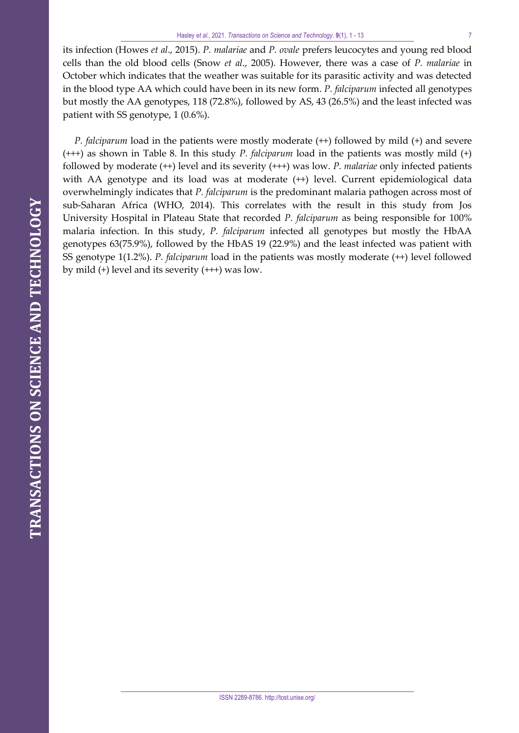its infection (Howes *et al*., 2015). *P. malariae* and *P. ovale* prefers leucocytes and young red blood cells than the old blood cells (Snow *et al*., 2005). However, there was a case of *P. malariae* in October which indicates that the weather was suitable for its parasitic activity and was detected in the blood type AA which could have been in its new form. *P. falciparum* infected all genotypes but mostly the AA genotypes, 118 (72.8%), followed by AS, 43 (26.5%) and the least infected was patient with SS genotype, 1 (0.6%).

*P. falciparum* load in the patients were mostly moderate (++) followed by mild (+) and severe (+++) as shown in Table 8. In this study *P. falciparum* load in the patients was mostly mild (+) followed by moderate (++) level and its severity (+++) was low. *P. malariae* only infected patients with AA genotype and its load was at moderate  $(++)$  level. Current epidemiological data overwhelmingly indicates that *P. falciparum* is the predominant malaria pathogen across most of sub-Saharan Africa (WHO, 2014). This correlates with the result in this study from Jos University Hospital in Plateau State that recorded *P. falciparum* as being responsible for 100% malaria infection. In this study, *P. falciparum* infected all genotypes but mostly the HbAA genotypes 63(75.9%), followed by the HbAS 19 (22.9%) and the least infected was patient with SS genotype 1(1.2%). *P. falciparum* load in the patients was mostly moderate (++) level followed by mild (+) level and its severity (+++) was low.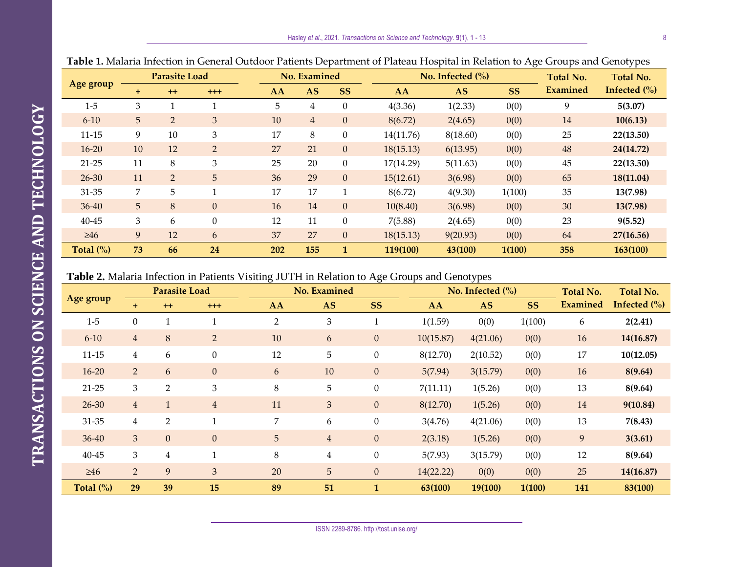|              |                | <b>Parasite Load</b> |                |     | No. Examined   |                |           | No. Infected $\frac{0}{0}$ |           |                 | . F<br>Total No.                    |
|--------------|----------------|----------------------|----------------|-----|----------------|----------------|-----------|----------------------------|-----------|-----------------|-------------------------------------|
| Age group    | $\pm$          | $++$                 | $^{+++}$       | AA  | <b>AS</b>      | <b>SS</b>      | AA        | <b>AS</b>                  | <b>SS</b> | <b>Examined</b> | Infected $\left(\frac{0}{0}\right)$ |
| $1-5$        | 3              |                      |                | 5   | 4              | $\Omega$       | 4(3.36)   | 1(2.33)                    | 0(0)      | 9               | 5(3.07)                             |
| $6 - 10$     | 5 <sup>5</sup> | 2                    | $\mathfrak{Z}$ | 10  | $\overline{4}$ | $\overline{0}$ | 8(6.72)   | 2(4.65)                    | 0(0)      | 14              | 10(6.13)                            |
| $11 - 15$    | 9              | 10                   | 3              | 17  | 8              | $\theta$       | 14(11.76) | 8(18.60)                   | 0(0)      | 25              | 22(13.50)                           |
| $16 - 20$    | 10             | 12                   | $\overline{2}$ | 27  | 21             | $\theta$       | 18(15.13) | 6(13.95)                   | 0(0)      | 48              | 24(14.72)                           |
| $21-25$      | 11             | 8                    | 3              | 25  | 20             | $\overline{0}$ | 17(14.29) | 5(11.63)                   | 0(0)      | 45              | 22(13.50)                           |
| $26 - 30$    | 11             | $\overline{2}$       | 5              | 36  | 29             | $\overline{0}$ | 15(12.61) | 3(6.98)                    | 0(0)      | 65              | 18(11.04)                           |
| 31-35        | 7              | 5                    | -1             | 17  | 17             |                | 8(6.72)   | 4(9.30)                    | 1(100)    | 35              | 13(7.98)                            |
| $36 - 40$    | 5 <sup>5</sup> | 8                    | $\mathbf{0}$   | 16  | 14             | $\theta$       | 10(8.40)  | 3(6.98)                    | 0(0)      | 30              | 13(7.98)                            |
| $40 - 45$    | 3              | 6                    | $\overline{0}$ | 12  | 11             | $\mathbf{0}$   | 7(5.88)   | 2(4.65)                    | 0(0)      | 23              | 9(5.52)                             |
| $\geq 46$    | 9              | 12                   | 6              | 37  | 27             | $\overline{0}$ | 18(15.13) | 9(20.93)                   | 0(0)      | 64              | 27(16.56)                           |
| Total $(\%)$ | 73             | 66                   | 24             | 202 | 155            | 1              | 119(100)  | 43(100)                    | 1(100)    | 358             | 163(100)                            |

**Table 1.** Malaria Infection in General Outdoor Patients Department of Plateau Hospital in Relation to Age Groups and Genotypes

# **Table 2.** Malaria Infection in Patients Visiting JUTH in Relation to Age Groups and Genotypes

| <b>Parasite Load</b> |                | No. Examined   |                  |                |                | No. Infected $\frac{0}{0}$ | <b>Total No.</b> | <b>Total No.</b> |           |          |                 |
|----------------------|----------------|----------------|------------------|----------------|----------------|----------------------------|------------------|------------------|-----------|----------|-----------------|
| Age group            | ÷              | $++$           | $^{+++}$         | AA             | <b>AS</b>      | <b>SS</b>                  | AA               | <b>AS</b>        | <b>SS</b> | Examined | Infected $(\%)$ |
| $1-5$                | $\mathbf{0}$   | 1              | $\mathbf{1}$     | $\overline{2}$ | 3              | $\mathbf{1}$               | 1(1.59)          | 0(0)             | 1(100)    | 6        | 2(2.41)         |
| $6 - 10$             | $\overline{4}$ | 8              | 2 <sup>1</sup>   | 10             | 6              | $\boldsymbol{0}$           | 10(15.87)        | 4(21.06)         | 0(0)      | 16       | 14(16.87)       |
| $11 - 15$            | 4              | 6              | $\boldsymbol{0}$ | 12             | 5              | $\boldsymbol{0}$           | 8(12.70)         | 2(10.52)         | 0(0)      | 17       | 10(12.05)       |
| $16 - 20$            | $2^{\circ}$    | 6              | $\mathbf{0}$     | 6              | 10             | $\boldsymbol{0}$           | 5(7.94)          | 3(15.79)         | 0(0)      | 16       | 8(9.64)         |
| $21 - 25$            | 3              | $\overline{2}$ | $\mathfrak{Z}$   | $8\,$          | 5              | $\boldsymbol{0}$           | 7(11.11)         | 1(5.26)          | 0(0)      | 13       | 8(9.64)         |
| $26 - 30$            | $\overline{4}$ | 1              | $\overline{4}$   | 11             | $\overline{3}$ | $\boldsymbol{0}$           | 8(12.70)         | 1(5.26)          | 0(0)      | 14       | 9(10.84)        |
| 31-35                | $\overline{4}$ | $\overline{2}$ | $\mathbf{1}$     | 7              | 6              | $\boldsymbol{0}$           | 3(4.76)          | 4(21.06)         | 0(0)      | 13       | 7(8.43)         |
| $36 - 40$            | 3              | $\overline{0}$ | $\overline{0}$   | 5              | $\overline{4}$ | $\boldsymbol{0}$           | 2(3.18)          | 1(5.26)          | 0(0)      | 9        | 3(3.61)         |
| $40 - 45$            | 3              | 4              | $\mathbf{1}$     | $8\,$          | 4              | $\boldsymbol{0}$           | 5(7.93)          | 3(15.79)         | 0(0)      | 12       | 8(9.64)         |
| $\geq 46$            | $\overline{2}$ | 9              | $\overline{3}$   | 20             | 5              | $\boldsymbol{0}$           | 14(22.22)        | 0(0)             | 0(0)      | 25       | 14(16.87)       |
| Total $(\%)$         | 29             | 39             | 15               | 89             | 51             | $\mathbf{1}$               | 63(100)          | 19(100)          | 1(100)    | 141      | 83(100)         |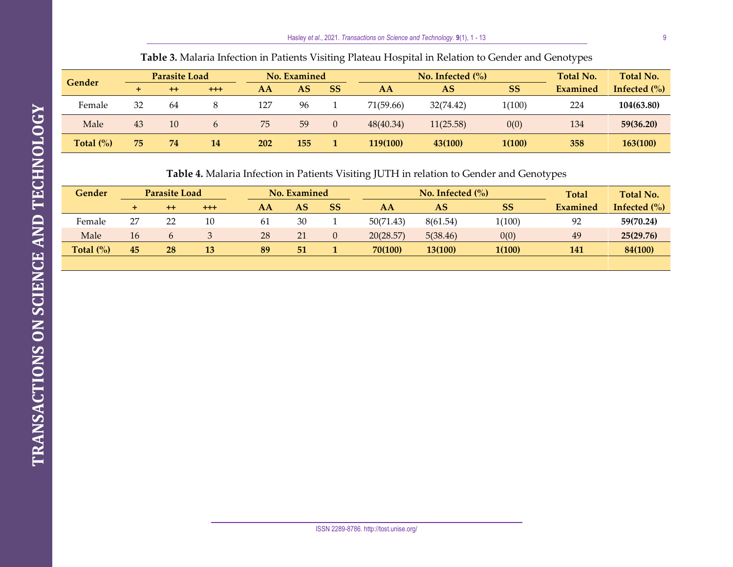#### **Gender Parasite Load No. Examined No. Infected (%)** Total No. <br> **Gender Reproduced Atlantic Connection Connection Connection Connection Connection Examined Total No. + ++ +++ AA AS SS AA AS SS Infected (%)** Female 32 64 8 127 96 1 71(59.66) 32(74.42) 1(100) 224 **104(63.80)** Male 43 10 6 75 59 0 48(40.34) 11(25.58) 0(0) 134 **59(36.20)**

**Table 3.** Malaria Infection in Patients Visiting Plateau Hospital in Relation to Gender and Genotypes

**Table 4.** Malaria Infection in Patients Visiting JUTH in relation to Gender and Genotypes

**Total (%) 75 74 14 202 155 1 119(100) 43(100) 1(100) 358 163(100)**

| Gender       | <b>Parasite Load</b> |         | <b>No. Examined</b> |     |    | No. Infected $(\%)$ |           |                | <b>Total No.</b> |          |                            |
|--------------|----------------------|---------|---------------------|-----|----|---------------------|-----------|----------------|------------------|----------|----------------------------|
|              | ÷                    | $^{++}$ | $^{++}$             | AA  | AS | SS                  | AA        | AS             | <b>SS</b>        | Examined | Infected $\left(\%\right)$ |
| Female       | 27                   | 22      | 10                  | -61 | 30 |                     | 50(71.43) | 8(61.54)       | 1(100)           | 92       | 59(70.24)                  |
| Male         | 16                   |         |                     | 28  | 21 |                     | 20(28.57) | 5(38.46)       | 0(0)             | 49       | 25(29.76)                  |
| Total $(\%)$ | 45                   | 28      | 13                  | 89  | 51 |                     | 70(100)   | <b>13(100)</b> | 1(100)           | 141      | 84(100)                    |
|              |                      |         |                     |     |    |                     |           |                |                  |          |                            |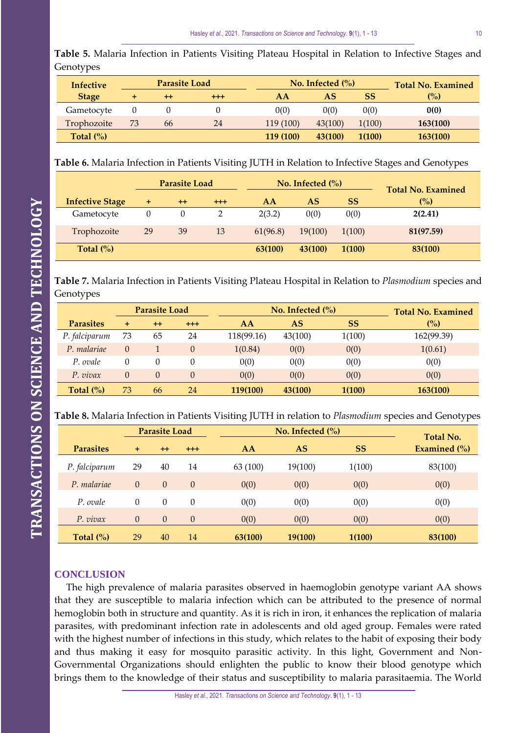**Table 5.** Malaria Infection in Patients Visiting Plateau Hospital in Relation to Infective Stages and Genotypes

| <b>Infective</b> |    | <b>Parasite Load</b> |         |           | No. Infected $\frac{6}{6}$ | <b>Total No. Examined</b> |          |
|------------------|----|----------------------|---------|-----------|----------------------------|---------------------------|----------|
| <b>Stage</b>     |    | $^{\mathrm{+}}$      | $^{++}$ | AΑ        | AS                         | SS                        | (%)      |
| Gametocyte       |    |                      |         | 0(0)      | 0(0)                       | 0(0)                      | 0(0)     |
| Trophozoite      | 73 | 66                   | 24      | 119 (100) | 43(100)                    | 1(100)                    | 163(100) |
| Total $(\%)$     |    |                      |         | 119 (100) | 43(100)                    | 1(100)                    | 163(100) |

**Table 6.** Malaria Infection in Patients Visiting JUTH in Relation to Infective Stages and Genotypes

|                        | <b>Parasite Load</b> |      |         |          | No. Infected $(\% )$ | <b>Total No. Examined</b> |           |
|------------------------|----------------------|------|---------|----------|----------------------|---------------------------|-----------|
| <b>Infective Stage</b> | ÷                    | $++$ | $+ + +$ | AA       | AS                   | <b>SS</b>                 | (%)       |
| Gametocyte             | 0                    | 0    |         | 2(3.2)   | 0(0)                 | 0(0)                      | 2(2.41)   |
| Trophozoite            | 29                   | 39   | 13      | 61(96.8) | 19(100)              | 1(100)                    | 81(97.59) |
| Total $(\%)$           |                      |      |         | 63(100)  | 43(100)              | 1(100)                    | 83(100)   |

**Table 7.** Malaria Infection in Patients Visiting Plateau Hospital in Relation to *Plasmodium* species and Genotypes

|                  | <b>Parasite Load</b> |          |          |            | No. Infected $(\% )$ | <b>Total No. Examined</b> |            |
|------------------|----------------------|----------|----------|------------|----------------------|---------------------------|------------|
| <b>Parasites</b> | ÷                    | $+$      | $+ + +$  | AA         | AS                   | <b>SS</b>                 | (%)        |
| P. falciparum    | 73                   | 65       | 24       | 118(99.16) | 43(100)              | 1(100)                    | 162(99.39) |
| P. malariae      | 0                    |          | $\Omega$ | 1(0.84)    | 0(0)                 | 0(0)                      | 1(0.61)    |
| P. ovale         | 0                    | $\theta$ |          | 0(0)       | 0(0)                 | 0(0)                      | 0(0)       |
| $P.$ vivax       | $\Omega$             | $\Omega$ | $\theta$ | 0(0)       | 0(0)                 | 0(0)                      | 0(0)       |
| Total $(\%)$     | 73                   | 66       | 24       | 119(100)   | 43(100)              | 1(100)                    | 163(100)   |

| Table 8. Malaria Infection in Patients Visiting JUTH in relation to Plasmodium species and Genotypes |  |  |  |
|------------------------------------------------------------------------------------------------------|--|--|--|
|------------------------------------------------------------------------------------------------------|--|--|--|

|                  | <b>Parasite Load</b> |          |          |          | No. Infected $(\% )$ |           |                                  |  |
|------------------|----------------------|----------|----------|----------|----------------------|-----------|----------------------------------|--|
| <b>Parasites</b> | $\ddot{}$            | $++$     | $+++$    | AA       | <b>AS</b>            | <b>SS</b> | <b>Total No.</b><br>Examined (%) |  |
| P. falciparum    | 29                   | 40       | 14       | 63 (100) | 19(100)              | 1(100)    | 83(100)                          |  |
| P. malariae      | $\Omega$             | $\Omega$ | $\theta$ | 0(0)     | 0(0)                 | 0(0)      | 0(0)                             |  |
| P. ovale         | $\Omega$             | $\Omega$ | $\Omega$ | 0(0)     | 0(0)                 | 0(0)      | 0(0)                             |  |
| $P.$ vivax       | $\theta$             | $\theta$ | $\theta$ | 0(0)     | 0(0)                 | 0(0)      | 0(0)                             |  |
| Total $(\%)$     | 29                   | 40       | 14       | 63(100)  | <b>19(100)</b>       | 1(100)    | 83(100)                          |  |

# **CONCLUSION**

The high prevalence of malaria parasites observed in haemoglobin genotype variant AA shows that they are susceptible to malaria infection which can be attributed to the presence of normal hemoglobin both in structure and quantity. As it is rich in iron, it enhances the replication of malaria parasites, with predominant infection rate in adolescents and old aged group. Females were rated with the highest number of infections in this study, which relates to the habit of exposing their body and thus making it easy for mosquito parasitic activity. In this light, Government and Non-Governmental Organizations should enlighten the public to know their blood genotype which brings them to the knowledge of their status and susceptibility to malaria parasitaemia. The World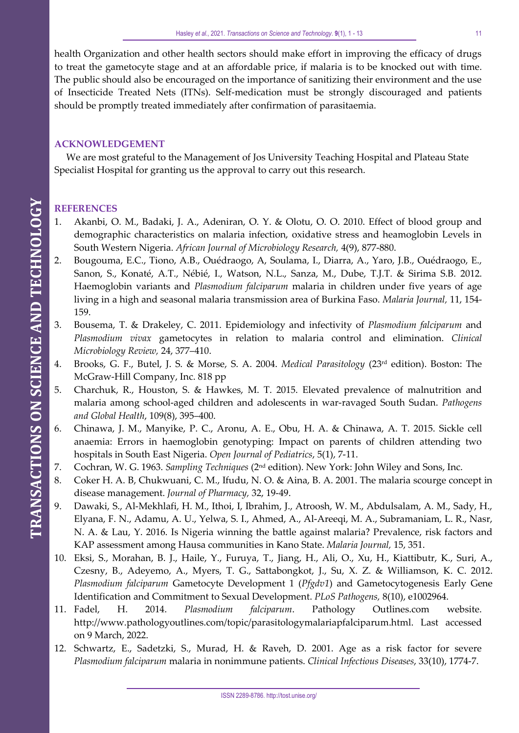health Organization and other health sectors should make effort in improving the efficacy of drugs to treat the gametocyte stage and at an affordable price, if malaria is to be knocked out with time. The public should also be encouraged on the importance of sanitizing their environment and the use of Insecticide Treated Nets (ITNs). Self-medication must be strongly discouraged and patients should be promptly treated immediately after confirmation of parasitaemia.

# **ACKNOWLEDGEMENT**

We are most grateful to the Management of Jos University Teaching Hospital and Plateau State Specialist Hospital for granting us the approval to carry out this research.

# **REFERENCES**

- 1. Akanbi, O. M., Badaki, J. A., Adeniran, O. Y. & Olotu, O. O. 2010. Effect of blood group and demographic characteristics on malaria infection, oxidative stress and heamoglobin Levels in South Western Nigeria. *African Journal of Microbiology Research,* 4(9), 877-880.
- 2. Bougouma, E.C., Tiono, A.B., Ouédraogo, A, Soulama, I., Diarra, A., Yaro, J.B., Ouédraogo, E., Sanon, S., Konaté, A.T., Nébié, I., Watson, N.L., Sanza, M., Dube, T.J.T. & Sirima S.B. 2012. Haemoglobin variants and *Plasmodium falciparum* malaria in children under five years of age living in a high and seasonal malaria transmission area of Burkina Faso. *Malaria Journal,* 11, 154- 159.
- 3. Bousema, T. & Drakeley, C. 2011. Epidemiology and infectivity of *Plasmodium falciparum* and *Plasmodium vivax* gametocytes in relation to malaria control and elimination. *Clinical Microbiology Review,* 24, 377–410.
- 4. Brooks, G. F., Butel, J. S. & Morse, S. A. 2004. *Medical Parasitology* (23rd edition). Boston: The McGraw-Hill Company, Inc. 818 pp
- 5. Charchuk, R., Houston, S. & Hawkes, M. T. 2015. Elevated prevalence of malnutrition and malaria among school-aged children and adolescents in war-ravaged South Sudan. *Pathogens and Global Health*, 109(8), 395–400.
- 6. Chinawa, J. M., Manyike, P. C., Aronu, A. E., Obu, H. A. & Chinawa, A. T. 2015. Sickle cell anaemia: Errors in haemoglobin genotyping: Impact on parents of children attending two hospitals in South East Nigeria. *Open Journal of Pediatrics*, 5(1), 7-11.
- 7. Cochran, W. G. 1963. *Sampling Techniques* (2 nd edition). New York: John Wiley and Sons, Inc.
- 8. Coker H. A. B, Chukwuani, C. M., Ifudu, N. O. & Aina, B. A. 2001. The malaria scourge concept in disease management. *Journal of Pharmacy,* 32, 19-49.
- 9. Dawaki, S., Al-Mekhlafi, H. M., Ithoi, I, Ibrahim, J., Atroosh, W. M., Abdulsalam, A. M., Sady, H., Elyana, F. N., Adamu, A. U., Yelwa, S. I., Ahmed, A., Al-Areeqi, M. A., Subramaniam, L. R., Nasr, N. A. & Lau, Y. 2016. Is Nigeria winning the battle against malaria? Prevalence, risk factors and KAP assessment among Hausa communities in Kano State. *Malaria Journal,* 15, 351.
- 10. Eksi, S., Morahan, B. J., Haile, Y., Furuya, T., Jiang, H., Ali, O., Xu, H., Kiattibutr, K., Suri, A., Czesny, B., Adeyemo, A., Myers, T. G., Sattabongkot, J., Su, X. Z. & Williamson, K. C. 2012. *Plasmodium falciparum* Gametocyte Development 1 (*Pfgdv1*) and Gametocytogenesis Early Gene Identification and Commitment to Sexual Development. *PLoS Pathogens,* 8(10), e1002964.
- 11. Fadel, H. 2014. *Plasmodium falciparum*. Pathology Outlines.com website. http://www.pathologyoutlines.com/topic/parasitologymalariapfalciparum.html. Last accessed on 9 March, 2022.
- 12. Schwartz, E., Sadetzki, S., Murad, H. & Raveh, D. 2001. Age as a risk factor for severe *Plasmodium falciparum* malaria in nonimmune patients. *Clinical Infectious Diseases*, 33(10), 1774-7.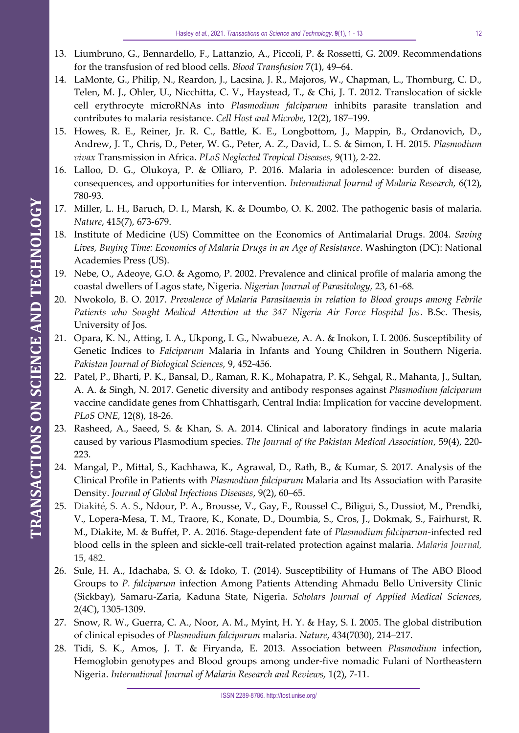- 13. Liumbruno, G., Bennardello, F., Lattanzio, A., Piccoli, P. & Rossetti, G. 2009. Recommendations for the transfusion of red blood cells. *Blood Transfusion* 7(1), 49–64.
- 14. LaMonte, G., Philip, N., Reardon, J., Lacsina, J. R., Majoros, W., Chapman, L., Thornburg, C. D., Telen, M. J., Ohler, U., Nicchitta, C. V., Haystead, T., & Chi, J. T. 2012. Translocation of sickle cell erythrocyte microRNAs into *Plasmodium falciparum* inhibits parasite translation and contributes to malaria resistance. *Cell Host and Microbe*, 12(2), 187–199.
- 15. Howes, R. E., Reiner, Jr. R. C., Battle, K. E., Longbottom, J., Mappin, B., Ordanovich, D., Andrew, J. T., Chris, D., Peter, W. G., Peter, A. Z., David, L. S. & Simon, I. H. 2015. *Plasmodium vivax* Transmission in Africa. *PLoS Neglected Tropical Diseases,* 9(11), 2-22.
- 16. Lalloo, D. G., Olukoya, P. & Olliaro, P. 2016. Malaria in adolescence: burden of disease, consequences, and opportunities for intervention. *International Journal of Malaria Research,* 6(12), 780-93.
- 17. Miller, L. H., Baruch, D. I., Marsh, K. & Doumbo, O. K. 2002. The pathogenic basis of malaria. *Nature*, 415(7), 673-679.
- 18. Institute of Medicine (US) Committee on the Economics of Antimalarial Drugs. 2004. *Saving Lives, Buying Time: Economics of Malaria Drugs in an Age of Resistance*. Washington (DC): National Academies Press (US).
- 19. Nebe, O., Adeoye, G.O. & Agomo, P. 2002. Prevalence and clinical profile of malaria among the coastal dwellers of Lagos state, Nigeria. *Nigerian Journal of Parasitology,* 23, 61-68*.*
- 20. Nwokolo, B. O. 2017. *Prevalence of Malaria Parasitaemia in relation to Blood groups among Febrile Patients who Sought Medical Attention at the 347 Nigeria Air Force Hospital Jos*. B.Sc. Thesis, University of Jos.
- 21. Opara, K. N., Atting, I. A., Ukpong, I. G., Nwabueze, A. A. & Inokon, I. I. 2006. Susceptibility of Genetic Indices to *Falciparum* Malaria in Infants and Young Children in Southern Nigeria. *Pakistan Journal of Biological Sciences,* 9, 452-456*.*
- 22. Patel, P., Bharti, P. K., Bansal, D., Raman, R. K., Mohapatra, P. K., Sehgal, R., Mahanta, J., Sultan, A. A. & Singh, N. 2017. Genetic diversity and antibody responses against *Plasmodium falciparum* vaccine candidate genes from Chhattisgarh, Central India: Implication for vaccine development. *PLoS ONE,* 12(8), 18-26.
- 23. Rasheed, A., Saeed, S. & Khan, S. A. 2014. Clinical and laboratory findings in acute malaria caused by various Plasmodium species. *The Journal of the Pakistan Medical Association*, 59(4), 220- 223.
- 24. Mangal, P., Mittal, S., Kachhawa, K., Agrawal, D., Rath, B., & Kumar, S. 2017. Analysis of the Clinical Profile in Patients with *Plasmodium falciparum* Malaria and Its Association with Parasite Density. *Journal of Global Infectious Diseases*, 9(2), 60–65.
- 25. Diakité, S. A. S., Ndour, P. A., Brousse, V., Gay, F., Roussel C., Biligui, S., Dussiot, M., Prendki, V., Lopera-Mesa, T. M., Traore, K., Konate, D., Doumbia, S., Cros, J., Dokmak, S., Fairhurst, R. M., Diakite, M. & Buffet, P. A. 2016. Stage-dependent fate of *Plasmodium falciparum*-infected red blood cells in the spleen and sickle-cell trait-related protection against malaria. *Malaria Journal,* 15, 482.
- 26. Sule, H. A., Idachaba, S. O. & Idoko, T. (2014). Susceptibility of Humans of The ABO Blood Groups to *P. falciparum* infection Among Patients Attending Ahmadu Bello University Clinic (Sickbay), Samaru-Zaria, Kaduna State, Nigeria. *Scholars Journal of Applied Medical Sciences,* 2(4C), 1305-1309.
- 27. Snow, R. W., Guerra, C. A., Noor, A. M., Myint, H. Y. & Hay, S. I. 2005. The global distribution of clinical episodes of *Plasmodium falciparum* malaria. *Nature*, 434(7030), 214–217.
- 28. Tidi, S. K., Amos, J. T. & Firyanda, E. 2013. Association between *Plasmodium* infection, Hemoglobin genotypes and Blood groups among under-five nomadic Fulani of Northeastern Nigeria. *International Journal of Malaria Research and Reviews,* 1(2), 7-11.